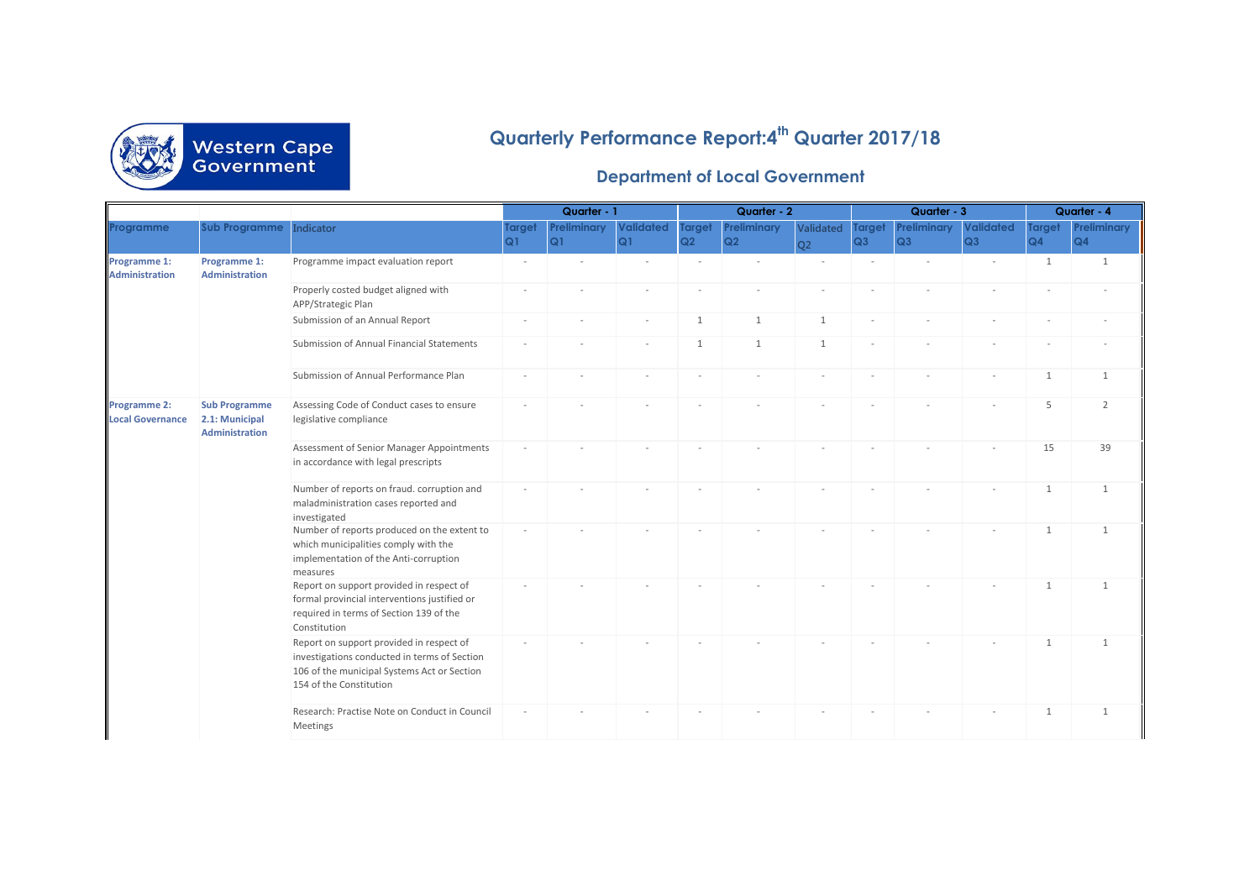

## **Quarterly Performance Report:4th Quarter 2017/18**

## **Department of Local Government**

|                                         |                                                                 |                                                                                                                                                                    |                     | Quarter - 1              |                        | Quarter - 2         |                          | Quarter - 3            |                     | Quarter - 4       |                        |                     |                   |
|-----------------------------------------|-----------------------------------------------------------------|--------------------------------------------------------------------------------------------------------------------------------------------------------------------|---------------------|--------------------------|------------------------|---------------------|--------------------------|------------------------|---------------------|-------------------|------------------------|---------------------|-------------------|
| Programme                               | <b>Sub Programme</b>                                            | Indicator                                                                                                                                                          | <b>Target</b><br>Q1 | <b>Preliminary</b><br>Q1 | <b>Validated</b><br>Q1 | <b>Target</b><br>Q2 | <b>Preliminary</b><br>Q2 | Validated<br><b>O2</b> | <b>Target</b><br>Q3 | Preliminary<br>Q3 | <b>Validated</b><br>Q3 | <b>Target</b><br>Q4 | Preliminary<br>Q4 |
| Programme 1:<br><b>Administration</b>   | Programme 1:<br><b>Administration</b>                           | Programme impact evaluation report                                                                                                                                 |                     |                          |                        |                     |                          |                        |                     |                   |                        | 1                   | 1                 |
|                                         |                                                                 | Properly costed budget aligned with<br>APP/Strategic Plan                                                                                                          |                     |                          |                        |                     |                          |                        |                     |                   |                        |                     |                   |
|                                         |                                                                 | Submission of an Annual Report                                                                                                                                     |                     |                          |                        | 1                   | $\mathbf{1}$             | $\mathbf{1}$           |                     |                   |                        |                     |                   |
|                                         |                                                                 | Submission of Annual Financial Statements                                                                                                                          |                     |                          |                        | 1                   | $\mathbf{1}$             | 1                      |                     |                   |                        |                     |                   |
|                                         |                                                                 | Submission of Annual Performance Plan                                                                                                                              |                     |                          |                        |                     |                          |                        |                     |                   |                        | $\mathbf{1}$        | $\mathbf{1}$      |
| Programme 2:<br><b>Local Governance</b> | <b>Sub Programme</b><br>2.1: Municipal<br><b>Administration</b> | Assessing Code of Conduct cases to ensure<br>legislative compliance                                                                                                |                     |                          |                        |                     |                          |                        |                     |                   |                        | 5                   | $\overline{2}$    |
|                                         |                                                                 | Assessment of Senior Manager Appointments<br>in accordance with legal prescripts                                                                                   |                     |                          |                        |                     |                          |                        |                     |                   |                        | 15                  | 39                |
|                                         |                                                                 | Number of reports on fraud. corruption and<br>maladministration cases reported and<br>investigated                                                                 |                     |                          |                        |                     |                          |                        |                     |                   |                        | 1                   | 1                 |
|                                         |                                                                 | Number of reports produced on the extent to<br>which municipalities comply with the<br>implementation of the Anti-corruption<br>measures                           |                     |                          |                        |                     |                          |                        |                     |                   |                        | 1                   | 1                 |
|                                         |                                                                 | Report on support provided in respect of<br>formal provincial interventions justified or<br>required in terms of Section 139 of the<br>Constitution                |                     |                          |                        |                     |                          |                        |                     |                   |                        | $\mathbf{1}$        | 1                 |
|                                         |                                                                 | Report on support provided in respect of<br>investigations conducted in terms of Section<br>106 of the municipal Systems Act or Section<br>154 of the Constitution |                     |                          |                        |                     |                          |                        |                     |                   |                        | 1                   | 1                 |
|                                         |                                                                 | Research: Practise Note on Conduct in Council<br>Meetings                                                                                                          |                     |                          |                        |                     |                          |                        |                     |                   |                        | 1                   | 1                 |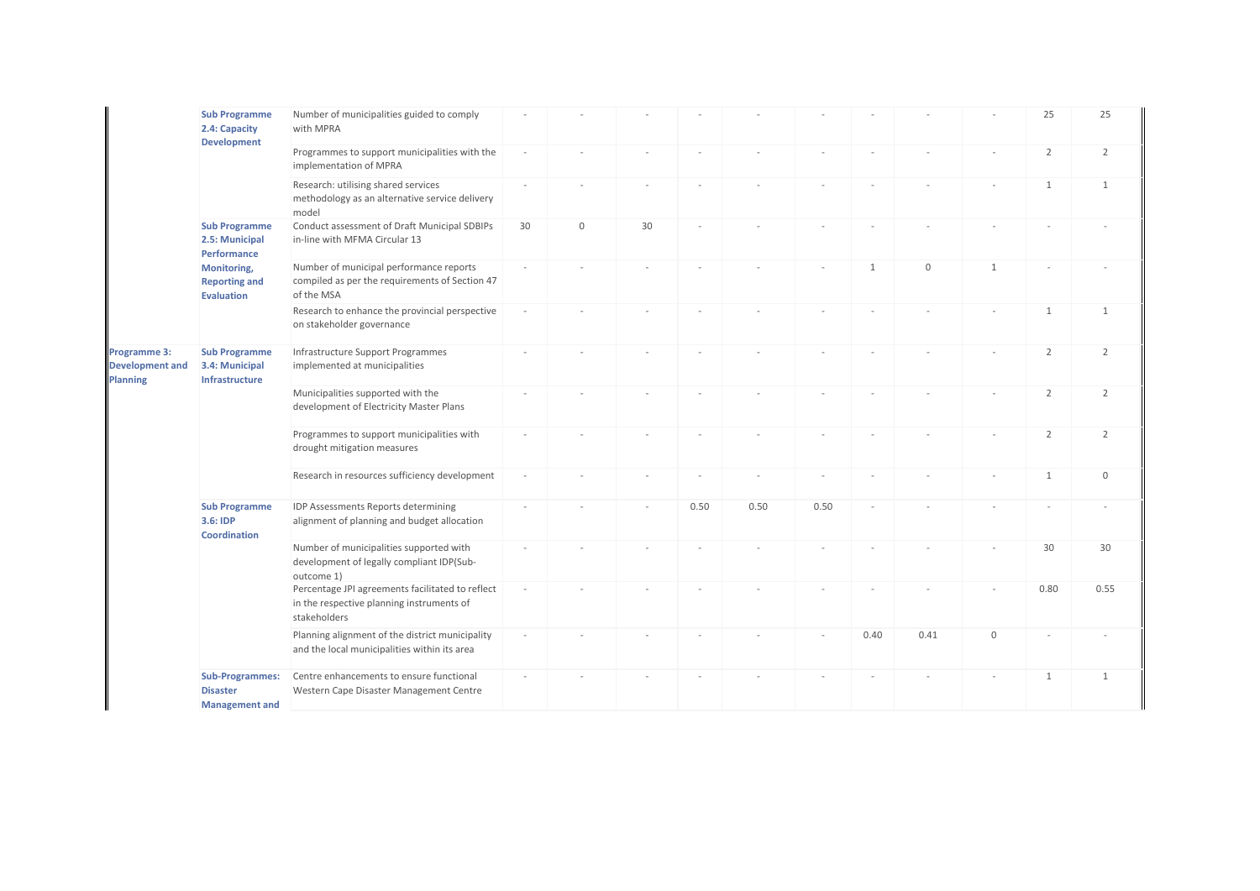|                                                           | <b>Sub Programme</b><br>2.4: Capacity<br><b>Development</b>                                                | Number of municipalities guided to comply<br>with MPRA                                                        |    |             |    |      |      |      |              |              |                  | 25             | 25             |
|-----------------------------------------------------------|------------------------------------------------------------------------------------------------------------|---------------------------------------------------------------------------------------------------------------|----|-------------|----|------|------|------|--------------|--------------|------------------|----------------|----------------|
|                                                           |                                                                                                            | Programmes to support municipalities with the<br>implementation of MPRA                                       |    |             |    |      |      |      |              |              |                  | $\overline{2}$ | 2              |
|                                                           |                                                                                                            | Research: utilising shared services<br>methodology as an alternative service delivery<br>model                |    |             |    |      |      |      |              |              |                  | $\mathbf{1}$   | 1              |
|                                                           | <b>Sub Programme</b><br>2.5: Municipal<br>Performance<br>Monitoring,<br><b>Reporting and</b><br>Evaluation | Conduct assessment of Draft Municipal SDBIPs<br>in-line with MFMA Circular 13                                 | 30 | $\mathbf 0$ | 30 |      |      |      |              |              |                  |                |                |
|                                                           |                                                                                                            | Number of municipal performance reports<br>compiled as per the requirements of Section 47<br>of the MSA       |    |             |    |      |      |      | $\mathbf{1}$ | $\mathbf{0}$ | $\mathbf{1}$     |                |                |
|                                                           |                                                                                                            | Research to enhance the provincial perspective<br>on stakeholder governance                                   |    |             |    |      |      |      |              |              |                  | $\mathbf{1}$   | 1              |
| Programme 3:<br><b>Development and</b><br><b>Planning</b> | <b>Sub Programme</b><br>3.4: Municipal<br>Infrastructure                                                   | Infrastructure Support Programmes<br>implemented at municipalities                                            |    |             |    |      |      |      |              |              |                  | $\overline{2}$ | $\overline{2}$ |
|                                                           |                                                                                                            | Municipalities supported with the<br>development of Electricity Master Plans                                  |    |             |    |      |      |      |              |              |                  | $\overline{2}$ | 2              |
|                                                           |                                                                                                            | Programmes to support municipalities with<br>drought mitigation measures                                      |    |             |    |      |      |      |              |              |                  | $\overline{2}$ | $\overline{2}$ |
|                                                           |                                                                                                            | Research in resources sufficiency development                                                                 |    |             |    |      |      |      |              |              |                  | $\mathbf{1}$   | $\mathbf 0$    |
|                                                           | <b>Sub Programme</b><br>3.6: IDP<br>Coordination                                                           | IDP Assessments Reports determining<br>alignment of planning and budget allocation                            |    |             |    | 0.50 | 0.50 | 0.50 |              |              |                  |                |                |
|                                                           |                                                                                                            | Number of municipalities supported with<br>development of legally compliant IDP(Sub-<br>outcome 1)            |    |             |    |      |      |      |              |              |                  | 30             | 30             |
|                                                           |                                                                                                            | Percentage JPI agreements facilitated to reflect<br>in the respective planning instruments of<br>stakeholders |    |             |    |      |      |      |              |              |                  | 0.80           | 0.55           |
|                                                           |                                                                                                            | Planning alignment of the district municipality<br>and the local municipalities within its area               |    |             |    |      |      |      | 0.40         | 0.41         | $\boldsymbol{0}$ |                |                |
|                                                           | <b>Sub-Programmes:</b><br><b>Disaster</b><br><b>Management and</b>                                         | Centre enhancements to ensure functional<br>Western Cape Disaster Management Centre                           |    |             |    |      |      |      |              |              |                  | $\mathbf{1}$   | $\mathbf{1}$   |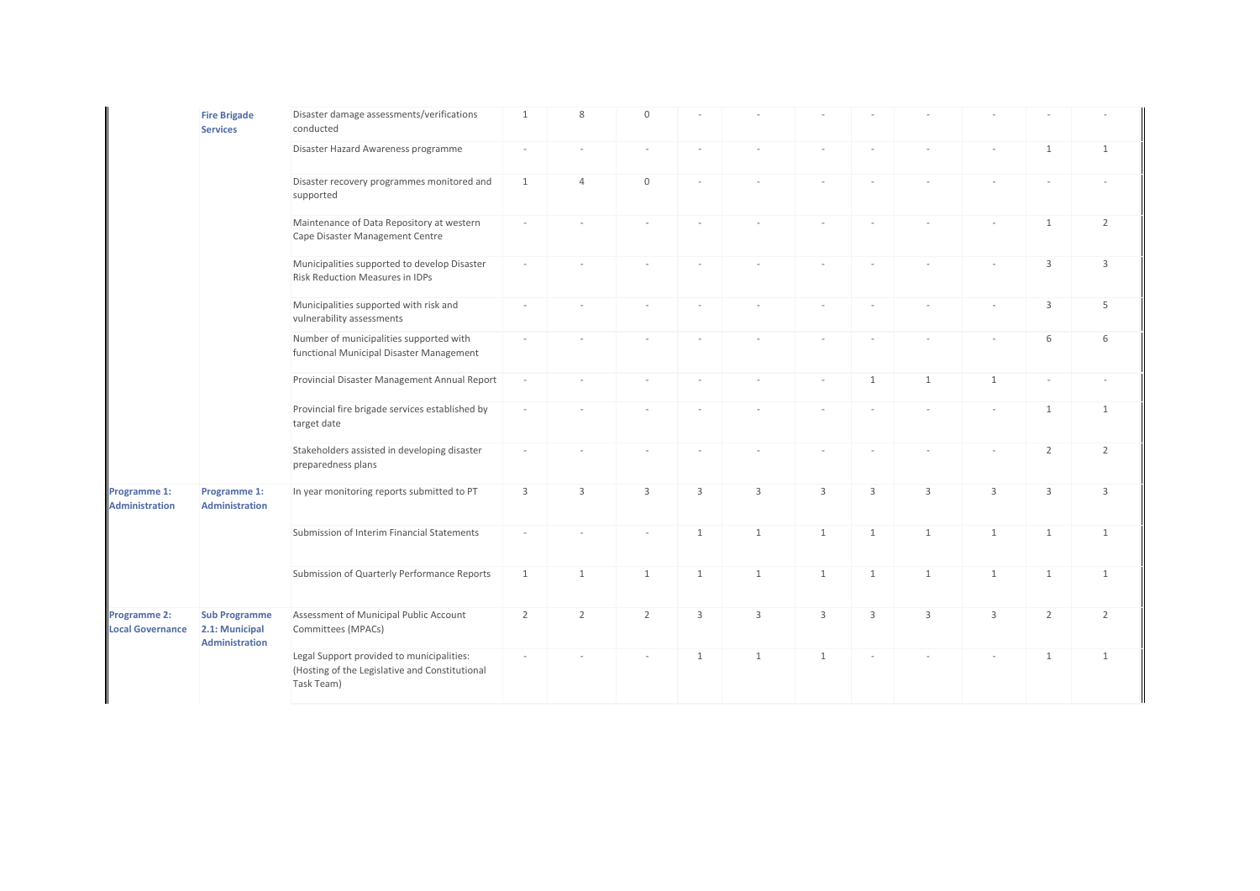|                                         | <b>Fire Brigade</b><br><b>Services</b>                          | Disaster damage assessments/verifications<br>conducted                                                    | $\mathbf{1}$   | 8              | $\mathbf{0}$   |              |              |                |              |              |              |                |                |
|-----------------------------------------|-----------------------------------------------------------------|-----------------------------------------------------------------------------------------------------------|----------------|----------------|----------------|--------------|--------------|----------------|--------------|--------------|--------------|----------------|----------------|
|                                         |                                                                 | Disaster Hazard Awareness programme                                                                       | $\sim$         |                |                |              |              |                |              |              |              | $\mathbf{1}$   | $\mathbf{1}$   |
|                                         |                                                                 | Disaster recovery programmes monitored and<br>supported                                                   | $\mathbf{1}$   | $\overline{4}$ | $\mathbf 0$    |              |              |                |              |              |              |                |                |
|                                         |                                                                 | Maintenance of Data Repository at western<br>Cape Disaster Management Centre                              |                |                |                |              |              |                |              |              |              | $\mathbf{1}$   | $\overline{2}$ |
|                                         |                                                                 | Municipalities supported to develop Disaster<br><b>Risk Reduction Measures in IDPs</b>                    |                |                |                |              |              |                |              |              |              | 3              | 3              |
|                                         |                                                                 | Municipalities supported with risk and<br>vulnerability assessments                                       |                |                |                |              |              |                |              |              |              | 3              | 5              |
|                                         |                                                                 | Number of municipalities supported with<br>functional Municipal Disaster Management                       |                |                |                |              |              |                |              |              |              | 6              | 6              |
|                                         |                                                                 | Provincial Disaster Management Annual Report                                                              | $\overline{a}$ |                |                |              |              |                | $\mathbf{1}$ | $\mathbf{1}$ | $\mathbf{1}$ |                |                |
|                                         |                                                                 | Provincial fire brigade services established by<br>target date                                            |                |                |                |              |              |                |              |              |              | $\mathbf{1}$   | 1              |
|                                         |                                                                 | Stakeholders assisted in developing disaster<br>preparedness plans                                        |                |                |                |              |              |                |              |              |              | $\overline{2}$ | $\overline{2}$ |
| Programme 1:<br><b>Administration</b>   | Programme 1:<br><b>Administration</b>                           | In year monitoring reports submitted to PT                                                                | $\mathbf{3}$   | 3              | 3              | 3            | 3            | $\overline{3}$ | 3            | 3            | 3            | 3              | 3              |
|                                         |                                                                 | Submission of Interim Financial Statements                                                                |                |                |                | 1            | $\mathbf{1}$ | 1              | 1            | $\mathbf{1}$ | $\mathbf{1}$ | $\mathbf{1}$   | $\mathbf{1}$   |
|                                         |                                                                 | Submission of Quarterly Performance Reports                                                               | $\mathbf{1}$   | $\mathbf{1}$   | $\mathbf{1}$   | $\mathbf{1}$ | $\mathbf{1}$ | 1              | $\mathbf{1}$ | $\mathbf{1}$ | $\mathbf{1}$ | $\mathbf{1}$   | $\mathbf{1}$   |
| Programme 2:<br><b>Local Governance</b> | <b>Sub Programme</b><br>2.1: Municipal<br><b>Administration</b> | Assessment of Municipal Public Account<br>Committees (MPACs)                                              | 2              | $\overline{2}$ | $\overline{2}$ | 3            | 3            | 3              | 3            | 3            | 3            | $\overline{2}$ | $\overline{2}$ |
|                                         |                                                                 | Legal Support provided to municipalities:<br>(Hosting of the Legislative and Constitutional<br>Task Team) |                |                |                | 1            | $\mathbf{1}$ | 1              |              |              |              | $\mathbf{1}$   | $\mathbf{1}$   |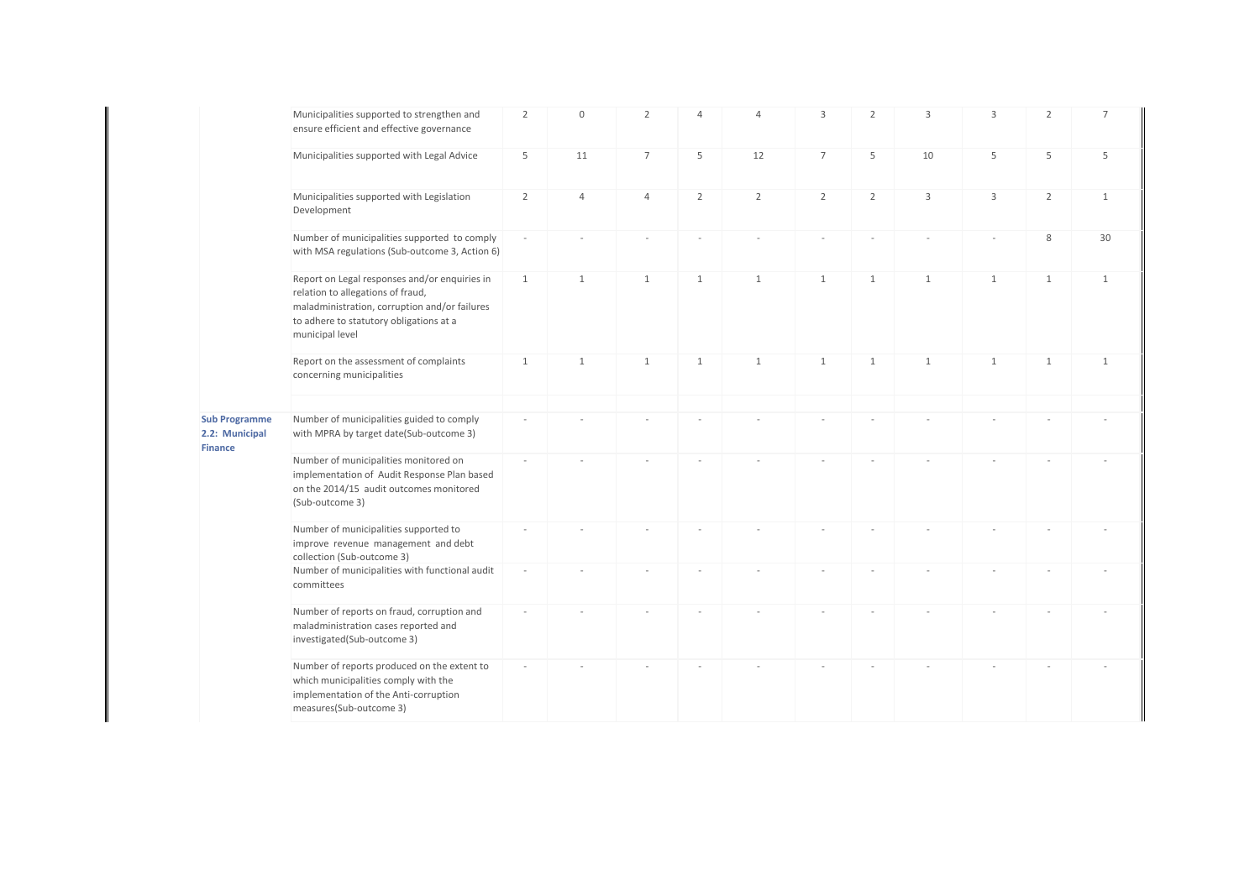|                                                          | Municipalities supported to strengthen and<br>ensure efficient and effective governance                                                                                                           | $\overline{2}$ | $\mathbf 0$    | $\overline{2}$ | $\overline{4}$ | $\overline{4}$ | $\mathbf{3}$    | $\overline{2}$ | 3            | 3            | $\overline{2}$ | 7            |
|----------------------------------------------------------|---------------------------------------------------------------------------------------------------------------------------------------------------------------------------------------------------|----------------|----------------|----------------|----------------|----------------|-----------------|----------------|--------------|--------------|----------------|--------------|
|                                                          | Municipalities supported with Legal Advice                                                                                                                                                        | 5              | 11             | $\overline{7}$ | 5              | 12             | $7\overline{ }$ | 5              | 10           | 5            | 5              | 5            |
|                                                          | Municipalities supported with Legislation<br>Development                                                                                                                                          | $\overline{2}$ | $\overline{4}$ | $\overline{4}$ | $\overline{2}$ | $\overline{2}$ | $\overline{2}$  | $\overline{2}$ | 3            | 3            | $\overline{2}$ | $\mathbf{1}$ |
|                                                          | Number of municipalities supported to comply<br>with MSA regulations (Sub-outcome 3, Action 6)                                                                                                    |                |                |                |                |                |                 |                |              |              | 8              | 30           |
|                                                          | Report on Legal responses and/or enquiries in<br>relation to allegations of fraud,<br>maladministration, corruption and/or failures<br>to adhere to statutory obligations at a<br>municipal level | 1              | 1              | 1              | $\mathbf{1}$   | 1              | 1               | $\mathbf{1}$   | 1            | 1            | $\mathbf{1}$   | $\mathbf{1}$ |
|                                                          | Report on the assessment of complaints<br>concerning municipalities                                                                                                                               | 1              | $\mathbf{1}$   | $\mathbf{1}$   | $\mathbf{1}$   | $\mathbf{1}$   | $\mathbf{1}$    | $\mathbf{1}$   | $\mathbf{1}$ | $\mathbf{1}$ | $\mathbf{1}$   | $\mathbf{1}$ |
| <b>Sub Programme</b><br>2.2: Municipal<br><b>Finance</b> | Number of municipalities guided to comply<br>with MPRA by target date(Sub-outcome 3)                                                                                                              |                |                |                |                |                |                 |                |              |              |                |              |
|                                                          | Number of municipalities monitored on<br>implementation of Audit Response Plan based<br>on the 2014/15 audit outcomes monitored<br>(Sub-outcome 3)                                                |                |                |                |                |                |                 |                |              |              |                |              |
|                                                          | Number of municipalities supported to<br>improve revenue management and debt<br>collection (Sub-outcome 3)                                                                                        |                |                |                |                |                |                 |                |              |              |                |              |
|                                                          | Number of municipalities with functional audit<br>committees                                                                                                                                      |                |                |                |                |                |                 |                |              |              |                |              |
|                                                          | Number of reports on fraud, corruption and<br>maladministration cases reported and<br>investigated(Sub-outcome 3)                                                                                 |                |                |                |                |                |                 |                |              |              |                |              |
|                                                          | Number of reports produced on the extent to<br>which municipalities comply with the<br>implementation of the Anti-corruption<br>measures(Sub-outcome 3)                                           |                |                |                |                |                |                 |                |              |              |                |              |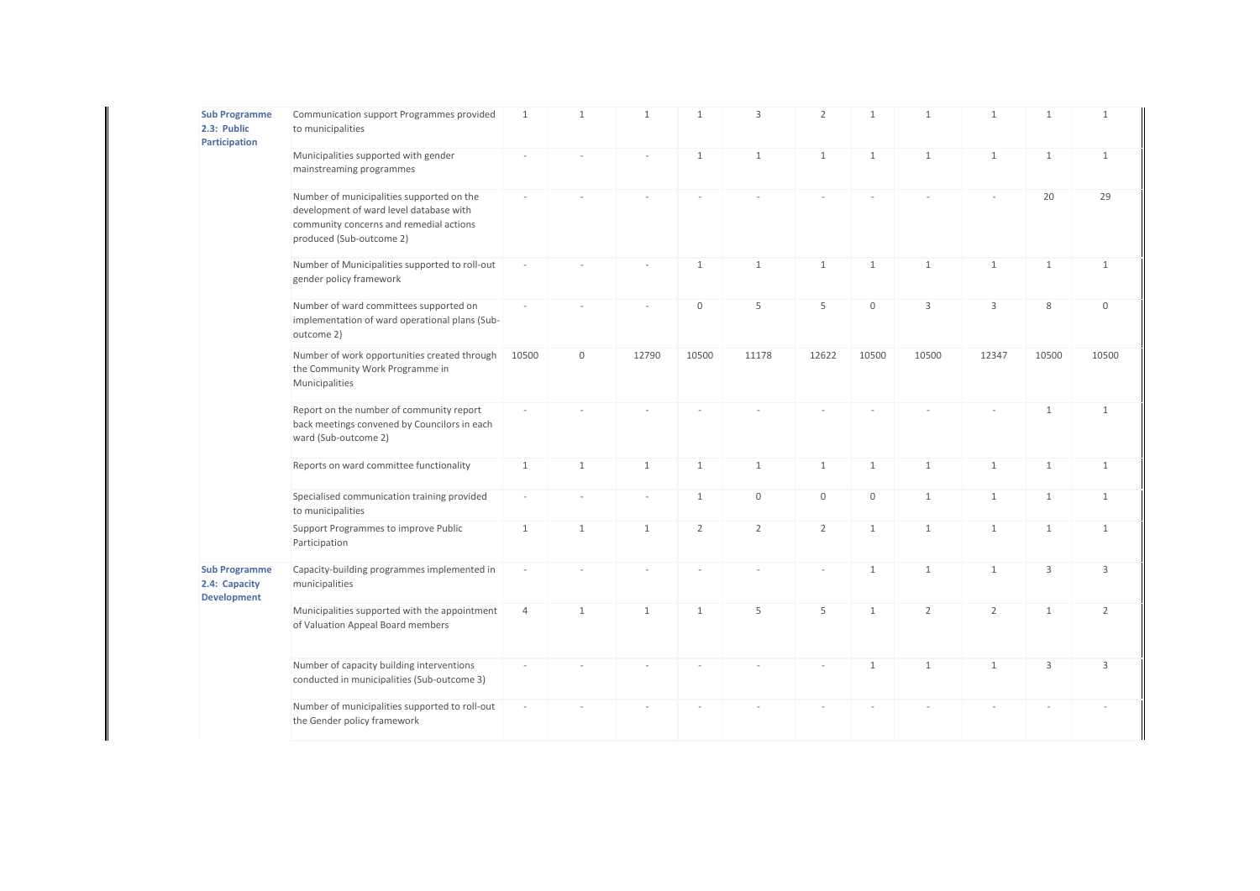| <b>Sub Programme</b><br>2.3: Public<br>Participation        | Communication support Programmes provided<br>to municipalities                                                                                              | $\mathbf{1}$   | $\mathbf{1}$ | $\mathbf{1}$   | $\mathbf{1}$   | 3              | $\overline{2}$ | $\mathbf{1}$        | $\mathbf{1}$   | $\mathbf{1}$   | $\mathbf{1}$ | $\mathbf{1}$   |
|-------------------------------------------------------------|-------------------------------------------------------------------------------------------------------------------------------------------------------------|----------------|--------------|----------------|----------------|----------------|----------------|---------------------|----------------|----------------|--------------|----------------|
|                                                             | Municipalities supported with gender<br>mainstreaming programmes                                                                                            |                |              |                | $\mathbf{1}$   | $\mathbf{1}$   | $\mathbf{1}$   | $\mathbf{1}$        | $\mathbf{1}$   | $\mathbf{1}$   | $\mathbf{1}$ | $\mathbf{1}$   |
|                                                             | Number of municipalities supported on the<br>development of ward level database with<br>community concerns and remedial actions<br>produced (Sub-outcome 2) |                |              |                |                |                |                |                     |                |                | 20           | 29             |
|                                                             | Number of Municipalities supported to roll-out<br>gender policy framework                                                                                   |                |              |                | $\mathbf{1}$   | $\mathbf{1}$   | $\mathbf{1}$   | $\mathbf{1}$        | $\mathbf{1}$   | $\mathbf{1}$   | $\mathbf{1}$ | $\mathbf{1}$   |
|                                                             | Number of ward committees supported on<br>implementation of ward operational plans (Sub-<br>outcome 2)                                                      |                |              |                | $\mathbf 0$    | 5              | 5              | $\mathsf{O}\xspace$ | 3              | 3              | 8            | $\mathbf 0$    |
|                                                             | Number of work opportunities created through<br>the Community Work Programme in<br>Municipalities                                                           | 10500          | $\mathbf 0$  | 12790          | 10500          | 11178          | 12622          | 10500               | 10500          | 12347          | 10500        | 10500          |
|                                                             | Report on the number of community report<br>back meetings convened by Councilors in each<br>ward (Sub-outcome 2)                                            |                |              |                |                |                |                |                     |                |                | $\mathbf{1}$ | $\mathbf{1}$   |
|                                                             | Reports on ward committee functionality                                                                                                                     | $\mathbf{1}$   | $\mathbf{1}$ | $\mathbf{1}$   | $\mathbf{1}$   | $\mathbf{1}$   | $\mathbf{1}$   | $\mathbf{1}$        | $\mathbf{1}$   | $\mathbf{1}$   | $\mathbf{1}$ | $\mathbf{1}$   |
|                                                             | Specialised communication training provided<br>to municipalities                                                                                            | $\sim$         |              | $\overline{a}$ | $\mathbf{1}$   | $\mathbb O$    | $\mathbf 0$    | $\mathsf{O}\xspace$ | $\mathbf{1}$   | $\mathbf{1}$   | $\mathbf{1}$ | $\mathbf{1}$   |
|                                                             | Support Programmes to improve Public<br>Participation                                                                                                       | $\mathbf{1}$   | $\mathbf{1}$ | $\mathbf{1}$   | $\overline{2}$ | $\overline{2}$ | $\overline{2}$ | $\mathbf{1}$        | $\mathbf{1}$   | $\mathbf{1}$   | $\mathbf{1}$ | $\mathbf{1}$   |
| <b>Sub Programme</b><br>2.4: Capacity<br><b>Development</b> | Capacity-building programmes implemented in<br>municipalities                                                                                               | ÷              |              |                |                |                |                | $\mathbf{1}$        | $\mathbf{1}$   | $\mathbf{1}$   | 3            | 3              |
|                                                             | Municipalities supported with the appointment<br>of Valuation Appeal Board members                                                                          | $\overline{4}$ | $\mathbf{1}$ | $\mathbf{1}$   | $\mathbf{1}$   | 5              | 5              | $\mathbf{1}$        | $\overline{2}$ | $\overline{2}$ | $\mathbf{1}$ | $\overline{2}$ |
|                                                             | Number of capacity building interventions<br>conducted in municipalities (Sub-outcome 3)                                                                    |                |              |                |                |                |                | $\mathbf{1}$        | $\mathbf{1}$   | $\mathbf{1}$   | $\mathbf{3}$ | $\overline{3}$ |
|                                                             | Number of municipalities supported to roll-out<br>the Gender policy framework                                                                               |                |              |                |                |                |                |                     |                |                |              |                |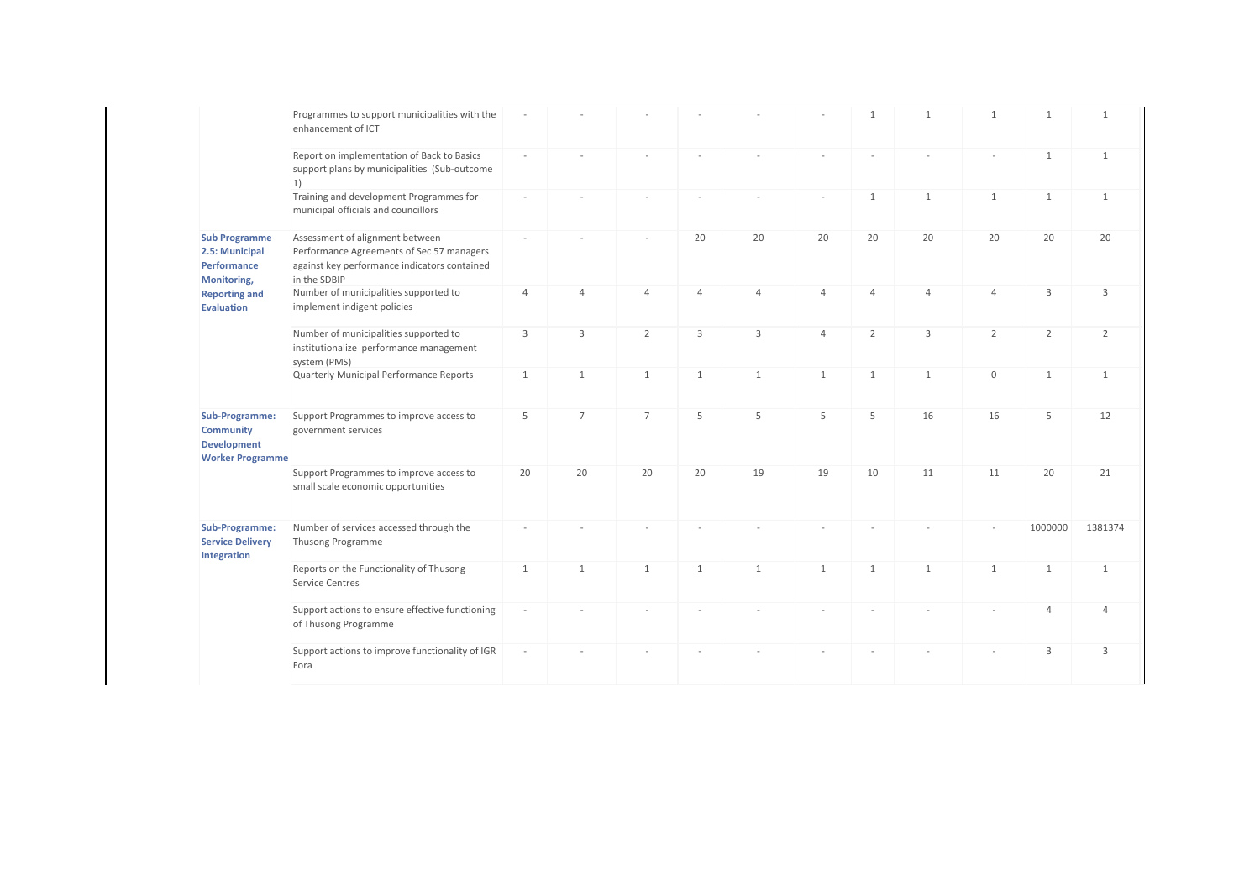|                                                                                                                   | Programmes to support municipalities with the<br>enhancement of ICT                                                                          |                          |                |                |                |                |                | $\mathbf{1}$   | $\mathbf{1}$   | $\mathbf{1}$   | $\mathbf{1}$   | $\mathbf{1}$   |
|-------------------------------------------------------------------------------------------------------------------|----------------------------------------------------------------------------------------------------------------------------------------------|--------------------------|----------------|----------------|----------------|----------------|----------------|----------------|----------------|----------------|----------------|----------------|
|                                                                                                                   | Report on implementation of Back to Basics<br>support plans by municipalities (Sub-outcome<br>$\vert$ 1)                                     |                          |                |                |                |                |                |                |                |                | $\mathbf{1}$   | $\mathbf{1}$   |
|                                                                                                                   | Training and development Programmes for<br>municipal officials and councillors                                                               |                          |                |                |                |                |                | $\mathbf{1}$   | $\mathbf{1}$   | $\mathbf{1}$   | $\mathbf{1}$   | $\mathbf{1}$   |
| <b>Sub Programme</b><br>2.5: Municipal<br>Performance<br>Monitoring,<br><b>Reporting and</b><br><b>Evaluation</b> | Assessment of alignment between<br>Performance Agreements of Sec 57 managers<br>against key performance indicators contained<br>in the SDBIP | $\sim$                   |                |                | 20             | 20             | 20             | 20             | 20             | 20             | 20             | 20             |
|                                                                                                                   | Number of municipalities supported to<br>implement indigent policies                                                                         | $\overline{4}$           | $\overline{4}$ | $\overline{4}$ | $\overline{4}$ | $\overline{4}$ | $\overline{4}$ | $\overline{4}$ | $\overline{4}$ | 4              | 3              | 3              |
|                                                                                                                   | Number of municipalities supported to<br>institutionalize performance management<br>system (PMS)                                             | 3                        | 3              | $\overline{2}$ | 3              | 3              | $\overline{4}$ | $\overline{2}$ | 3              | $\overline{2}$ | $\overline{2}$ | $\overline{2}$ |
|                                                                                                                   | Quarterly Municipal Performance Reports                                                                                                      | $\mathbf{1}$             | $\mathbf{1}$   | $\mathbf{1}$   | $\mathbf{1}$   | $\mathbf{1}$   | $\mathbf{1}$   | $\mathbf{1}$   | $\mathbf{1}$   | $\mathbf{0}$   | $\mathbf{1}$   | 1              |
| Sub-Programme:<br><b>Community</b><br><b>Development</b><br><b>Worker Programme</b>                               | Support Programmes to improve access to<br>government services                                                                               | 5                        | $\overline{7}$ | $\overline{7}$ | 5              | 5              | 5              | 5              | 16             | 16             | 5              | 12             |
|                                                                                                                   | Support Programmes to improve access to<br>small scale economic opportunities                                                                | 20                       | 20             | 20             | 20             | 19             | 19             | 10             | 11             | 11             | 20             | 21             |
| Sub-Programme:<br><b>Service Delivery</b><br>Integration                                                          | Number of services accessed through the<br>Thusong Programme                                                                                 |                          |                |                |                |                |                |                |                |                | 1000000        | 1381374        |
|                                                                                                                   | Reports on the Functionality of Thusong<br><b>Service Centres</b>                                                                            | $\mathbf{1}$             | $\mathbf{1}$   | $\mathbf{1}$   | 1              | $\mathbf{1}$   | $\mathbf{1}$   | $\mathbf{1}$   | $\mathbf{1}$   | $\mathbf{1}$   | $\mathbf{1}$   | $\mathbf{1}$   |
|                                                                                                                   | Support actions to ensure effective functioning<br>of Thusong Programme                                                                      |                          |                |                |                |                |                |                |                |                | $\overline{4}$ | Δ              |
|                                                                                                                   | Support actions to improve functionality of IGR<br>Fora                                                                                      | $\overline{\phantom{a}}$ |                |                |                |                |                |                |                |                | $\mathsf 3$    | 3              |